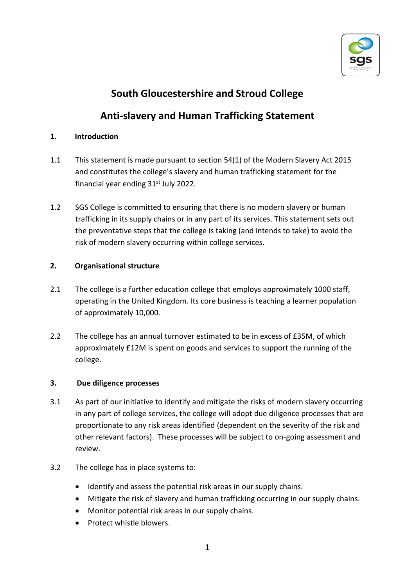

# **South Gloucestershire and Stroud College**

## **Anti-slavery and Human Trafficking Statement**

### **1. Introduction**

- 1.1 This statement is made pursuant to section 54(1) of the Modern Slavery Act 2015 and constitutes the college's slavery and human trafficking statement for the financial year ending  $31<sup>st</sup>$  July 2022.
- 1.2 SGS College is committed to ensuring that there is no modern slavery or human trafficking in its supply chains or in any part of its services. This statement sets out the preventative steps that the college is taking (and intends to take) to avoid the risk of modern slavery occurring within college services.

### **2. Organisational structure**

- 2.1 The college is a further education college that employs approximately 1000 staff, operating in the United Kingdom. Its core business is teaching a learner population of approximately 10,000.
- 2.2 The college has an annual turnover estimated to be in excess of £35M, of which approximately £12M is spent on goods and services to support the running of the college.

#### **3. Due diligence processes**

- 3.1 As part of our initiative to identify and mitigate the risks of modern slavery occurring in any part of college services, the college will adopt due diligence processes that are proportionate to any risk areas identified (dependent on the severity of the risk and other relevant factors). These processes will be subject to on-going assessment and review.
- 3.2 The college has in place systems to:
	- Identify and assess the potential risk areas in our supply chains.
	- Mitigate the risk of slavery and human trafficking occurring in our supply chains.
	- Monitor potential risk areas in our supply chains.
	- Protect whistle blowers.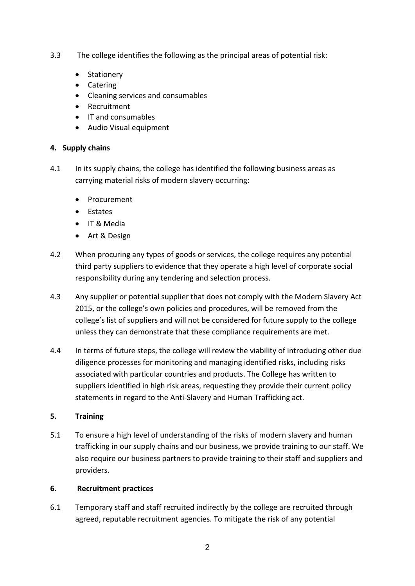- 3.3 The college identifies the following as the principal areas of potential risk:
	- Stationery
	- Catering
	- Cleaning services and consumables
	- Recruitment
	- IT and consumables
	- Audio Visual equipment

#### **4. Supply chains**

- 4.1 In its supply chains, the college has identified the following business areas as carrying material risks of modern slavery occurring:
	- Procurement
	- Estates
	- IT & Media
	- Art & Design
- 4.2 When procuring any types of goods or services, the college requires any potential third party suppliers to evidence that they operate a high level of corporate social responsibility during any tendering and selection process.
- 4.3 Any supplier or potential supplier that does not comply with the Modern Slavery Act 2015, or the college's own policies and procedures, will be removed from the college's list of suppliers and will not be considered for future supply to the college unless they can demonstrate that these compliance requirements are met.
- 4.4 In terms of future steps, the college will review the viability of introducing other due diligence processes for monitoring and managing identified risks, including risks associated with particular countries and products. The College has written to suppliers identified in high risk areas, requesting they provide their current policy statements in regard to the Anti-Slavery and Human Trafficking act.

#### **5. Training**

5.1 To ensure a high level of understanding of the risks of modern slavery and human trafficking in our supply chains and our business, we provide training to our staff. We also require our business partners to provide training to their staff and suppliers and providers.

#### **6. Recruitment practices**

6.1 Temporary staff and staff recruited indirectly by the college are recruited through agreed, reputable recruitment agencies. To mitigate the risk of any potential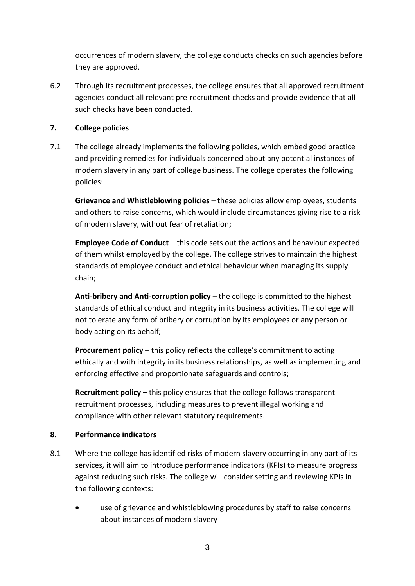occurrences of modern slavery, the college conducts checks on such agencies before they are approved.

6.2 Through its recruitment processes, the college ensures that all approved recruitment agencies conduct all relevant pre-recruitment checks and provide evidence that all such checks have been conducted.

#### **7. College policies**

7.1 The college already implements the following policies, which embed good practice and providing remedies for individuals concerned about any potential instances of modern slavery in any part of college business. The college operates the following policies:

**Grievance and Whistleblowing policies** – these policies allow employees, students and others to raise concerns, which would include circumstances giving rise to a risk of modern slavery, without fear of retaliation;

**Employee Code of Conduct** – this code sets out the actions and behaviour expected of them whilst employed by the college. The college strives to maintain the highest standards of employee conduct and ethical behaviour when managing its supply chain;

**Anti-bribery and Anti-corruption policy** – the college is committed to the highest standards of ethical conduct and integrity in its business activities. The college will not tolerate any form of bribery or corruption by its employees or any person or body acting on its behalf;

**Procurement policy** – this policy reflects the college's commitment to acting ethically and with integrity in its business relationships, as well as implementing and enforcing effective and proportionate safeguards and controls;

**Recruitment policy –** this policy ensures that the college follows transparent recruitment processes, including measures to prevent illegal working and compliance with other relevant statutory requirements.

#### **8. Performance indicators**

- 8.1 Where the college has identified risks of modern slavery occurring in any part of its services, it will aim to introduce performance indicators (KPIs) to measure progress against reducing such risks. The college will consider setting and reviewing KPIs in the following contexts:
	- use of grievance and whistleblowing procedures by staff to raise concerns about instances of modern slavery